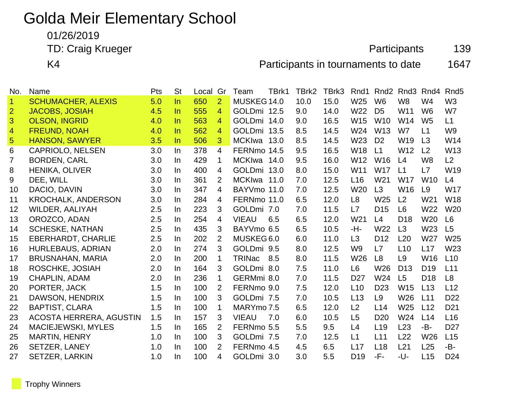# Golda Meir Elementary School

01/26/2019

TD: Craig Krueger **Participants** 139

K4 **Participants in tournaments to date** 1647

| No.            | Name                      | Pts | <b>St</b> | Local | Gr             | TBrk1<br>Team        | TBrk2 | TBrk3 | Rnd1            | Rnd <sub>2</sub> | Rnd <sub>3</sub> | Rnd4            | Rnd <sub>5</sub> |
|----------------|---------------------------|-----|-----------|-------|----------------|----------------------|-------|-------|-----------------|------------------|------------------|-----------------|------------------|
| $\mathbf{1}$   | <b>SCHUMACHER, ALEXIS</b> | 5.0 | $\ln$     | 650   | $\overline{2}$ | MUSKEG 14.0          | 10.0  | 15.0  | W <sub>25</sub> | W <sub>6</sub>   | W <sub>8</sub>   | W <sub>4</sub>  | W <sub>3</sub>   |
| $\overline{2}$ | <b>JACOBS, JOSIAH</b>     | 4.5 | $\ln$     | 555   | 4              | GOLDmi 12.5          | 9.0   | 14.0  | W22             | D <sub>5</sub>   | W11              | W <sub>6</sub>  | W7               |
| 3              | <b>OLSON, INGRID</b>      | 4.0 | In.       | 563   | $\overline{4}$ | GOLDmi 14.0          | 9.0   | 16.5  | W15             | W <sub>10</sub>  | W14              | W <sub>5</sub>  | L1               |
| $\overline{4}$ | <b>FREUND, NOAH</b>       | 4.0 | In.       | 562   | 4              | GOLDmi 13.5          | 8.5   | 14.5  | W24             | W <sub>13</sub>  | W7               | L1              | W <sub>9</sub>   |
| $\overline{5}$ | HANSON, SAWYER            | 3.5 | $\ln$     | 506   | 3              | MCKIwa 13.0          | 8.5   | 14.5  | W <sub>23</sub> | D <sub>2</sub>   | W19              | L3              | W14              |
| 6              | <b>CAPRIOLO, NELSEN</b>   | 3.0 | In.       | 378   | $\overline{4}$ | FERNmo 14.5          | 9.5   | 16.5  | W18             | L1               | W <sub>12</sub>  | L <sub>2</sub>  | W13              |
| $\overline{7}$ | <b>BORDEN, CARL</b>       | 3.0 | In        | 429   | $\mathbf 1$    | MCKIwa 14.0          | 9.5   | 16.0  | W <sub>12</sub> | W <sub>16</sub>  | L4               | W <sub>8</sub>  | L2               |
| 8              | <b>HENIKA, OLIVER</b>     | 3.0 | In        | 400   | $\overline{4}$ | GOLDmi 13.0          | 8.0   | 15.0  | W11             | <b>W17</b>       | L1               | L7              | W19              |
| 9              | DEE, WILL                 | 3.0 | In.       | 361   | 2              | MCKIwa<br>11.0       | 7.0   | 12.5  | L16             | W <sub>21</sub>  | <b>W17</b>       | <b>W10</b>      | L4               |
| 10             | DACIO, DAVIN              | 3.0 | In        | 347   | 4              | BAYVmo 11.0          | 7.0   | 12.5  | W20             | L3               | W16              | L9              | <b>W17</b>       |
| 11             | <b>KROCHALK, ANDERSON</b> | 3.0 | In        | 284   | 4              | FERNmo 11.0          | 6.5   | 12.0  | L <sub>8</sub>  | W25              | L <sub>2</sub>   | W21             | W18              |
| 12             | <b>WILDER, AALIYAH</b>    | 2.5 | In        | 223   | 3              | GOLDmi 7.0           | 7.0   | 11.5  | L7              | D <sub>15</sub>  | L <sub>6</sub>   | W22             | W <sub>20</sub>  |
| 13             | OROZCO, ADAN              | 2.5 | In        | 254   | 4              | <b>VIEAU</b><br>6.5  | 6.5   | 12.0  | W21             | L4               | D <sub>18</sub>  | W <sub>20</sub> | L6               |
| 14             | <b>SCHESKE, NATHAN</b>    | 2.5 | In        | 435   | 3              | BAYVmo 6.5           | 6.5   | 10.5  | -H-             | W22              | L3               | W23             | L5               |
| 15             | <b>EBERHARDT, CHARLIE</b> | 2.5 | In        | 202   | 2              | MUSKEG 6.0           | 6.0   | 11.0  | L <sub>3</sub>  | D <sub>12</sub>  | L20              | W27             | W25              |
| 16             | <b>HURLEBAUS, ADRIAN</b>  | 2.0 | In.       | 274   | 3              | GOLDmi 9.5           | 8.0   | 12.5  | W <sub>9</sub>  | L7               | L10              | L17             | W23              |
| 17             | <b>BRUSNAHAN, MARIA</b>   | 2.0 | In        | 200   | 1              | <b>TRINac</b><br>8.5 | 8.0   | 11.5  | W <sub>26</sub> | L8               | L9               | W16             | L10              |
| 18             | ROSCHKE, JOSIAH           | 2.0 | In        | 164   | 3              | GOLDmi 8.0           | 7.5   | 11.0  | L <sub>6</sub>  | W <sub>26</sub>  | D <sub>13</sub>  | D <sub>19</sub> | L11              |
| 19             | <b>CHAPLIN, ADAM</b>      | 2.0 | In        | 236   | $\mathbf 1$    | GERMmi 8.0           | 7.0   | 11.5  | D <sub>27</sub> | W24              | L5               | D <sub>18</sub> | L8               |
| 20             | PORTER, JACK              | 1.5 | In        | 100   | 2              | FERNmo 9.0           | 7.5   | 12.0  | L10             | D <sub>23</sub>  | W15              | L13             | L12              |
| 21             | DAWSON, HENDRIX           | 1.5 | In        | 100   | 3              | GOLDmi 7.5           | 7.0   | 10.5  | L13             | L9               | W26              | L11             | D <sub>22</sub>  |
| 22             | <b>BAPTIST, CLARA</b>     | 1.5 | In        | 100   | $\mathbf 1$    | MARYmo 7.5           | 6.5   | 12.0  | L2              | L14              | W <sub>25</sub>  | L12             | D <sub>21</sub>  |
| 23             | ACOSTA HERRERA, AGUSTIN   | 1.5 | In        | 157   | 3              | <b>VIEAU</b><br>7.0  | 6.0   | 10.5  | L <sub>5</sub>  | D <sub>20</sub>  | W24              | L14             | L16              |
| 24             | MACIEJEWSKI, MYLES        | 1.5 | In        | 165   | 2              | FERNmo 5.5           | 5.5   | 9.5   | L4              | L <sub>19</sub>  | L23              | -B-             | D <sub>27</sub>  |
| 25             | <b>MARTIN, HENRY</b>      | 1.0 | In.       | 100   | 3              | GOLDmi 7.5           | 7.0   | 12.5  | L1              | L11              | L22              | W26             | L15              |
| 26             | <b>SETZER, LANEY</b>      | 1.0 | In        | 100   | 2              | FERNmo 4.5           | 4.5   | 6.5   | L17             | L18              | L21              | L25             | $-B-$            |
| 27             | <b>SETZER, LARKIN</b>     | 1.0 | In        | 100   | 4              | GOLDmi 3.0           | 3.0   | 5.5   | D <sub>19</sub> | -F-              | -U-              | L15             | D <sub>24</sub>  |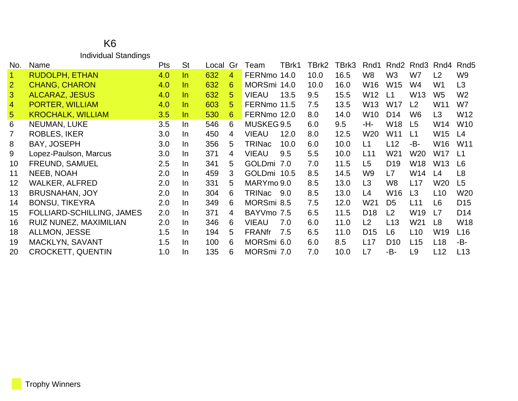#### K6 Individual Standings

| No.            | Name                      | Pts | <b>St</b> | Local | Gr             | Team          | TBrk1 | TBrk2 | TBrk3 | Rnd1            | Rnd <sub>2</sub> | Rnd3            | Rnd4            | Rnd <sub>5</sub> |
|----------------|---------------------------|-----|-----------|-------|----------------|---------------|-------|-------|-------|-----------------|------------------|-----------------|-----------------|------------------|
| $\overline{1}$ | <b>RUDOLPH, ETHAN</b>     | 4.0 | In.       | 632   | $\overline{4}$ | FERNmo 14.0   |       | 10.0  | 16.5  | W <sub>8</sub>  | W <sub>3</sub>   | W7              | L2              | W <sub>9</sub>   |
| 2              | <b>CHANG, CHARON</b>      | 4.0 | In.       | 632   | 6              | MORSmi 14.0   |       | 10.0  | 16.0  | W16             | W15              | W4              | W <sub>1</sub>  | L <sub>3</sub>   |
| $\mathbf{3}$   | <b>ALCARAZ, JESUS</b>     | 4.0 | In.       | 632   | 5              | <b>VIEAU</b>  | 13.5  | 9.5   | 15.5  | W12             | $\mathsf{L}1$    | W <sub>13</sub> | W <sub>5</sub>  | W <sub>2</sub>   |
| $\overline{4}$ | PORTER, WILLIAM           | 4.0 | In.       | 603   | 5              | FERNmo 11.5   |       | 7.5   | 13.5  | W13             | <b>W17</b>       | L2              | W11             | W7               |
| 5 <sup>5</sup> | <b>KROCHALK, WILLIAM</b>  | 3.5 | In        | 530   | 6              | FERNmo 12.0   |       | 8.0   | 14.0  | W <sub>10</sub> | D <sub>14</sub>  | W <sub>6</sub>  | L <sub>3</sub>  | W12              |
| 6              | NEUMAN, LUKE              | 3.5 | In.       | 546   | 6              | MUSKEG 9.5    |       | 6.0   | 9.5   | -H-             | W18              | L <sub>5</sub>  | W14             | W <sub>10</sub>  |
| $\overline{7}$ | <b>ROBLES, IKER</b>       | 3.0 | In.       | 450   | 4              | <b>VIEAU</b>  | 12.0  | 8.0   | 12.5  | W20             | W11              | L1              | W15             | L4               |
| 8              | BAY, JOSEPH               | 3.0 | In.       | 356   | 5              | <b>TRINac</b> | 10.0  | 6.0   | 10.0  | L1              | L12              | -B-             | W16             | W <sub>11</sub>  |
| 9              | Lopez-Paulson, Marcus     | 3.0 | In.       | 371   | 4              | <b>VIEAU</b>  | 9.5   | 5.5   | 10.0  | L11             | W21              | W20             | W17             | $\mathsf{L}1$    |
| 10             | FREUND, SAMUEL            | 2.5 | In.       | 341   | 5              | GOLDmi 7.0    |       | 7.0   | 11.5  | L <sub>5</sub>  | D <sub>19</sub>  | W18             | W <sub>13</sub> | L6               |
| 11             | <b>NEEB, NOAH</b>         | 2.0 | In.       | 459   | 3              | GOLDmi 10.5   |       | 8.5   | 14.5  | W <sub>9</sub>  | L7               | W14             | L4              | L <sub>8</sub>   |
| 12             | <b>WALKER, ALFRED</b>     | 2.0 | In.       | 331   | 5              | MARYmo 9.0    |       | 8.5   | 13.0  | L <sub>3</sub>  | W8               | L17             | W20             | L <sub>5</sub>   |
| 13             | <b>BRUSNAHAN, JOY</b>     | 2.0 | In.       | 304   | 6              | TRINac 9.0    |       | 8.5   | 13.0  | L4              | W16              | L <sub>3</sub>  | L <sub>10</sub> | W20              |
| 14             | <b>BONSU, TIKEYRA</b>     | 2.0 | In.       | 349   | 6              | MORSmi 8.5    |       | 7.5   | 12.0  | W21             | D <sub>5</sub>   | L11             | L6              | D <sub>15</sub>  |
| 15             | FOLLIARD-SCHILLING, JAMES | 2.0 | In.       | 371   | 4              | BAYVmo 7.5    |       | 6.5   | 11.5  | D <sub>18</sub> | L2               | W <sub>19</sub> | L7              | D <sub>14</sub>  |
| 16             | RUIZ NUNEZ, MAXIMILIAN    | 2.0 | In.       | 346   | 6              | <b>VIEAU</b>  | 7.0   | 6.0   | 11.0  | L2              | L13              | W <sub>21</sub> | L8              | W <sub>18</sub>  |
| 18             | ALLMON, JESSE             | 1.5 | In.       | 194   | 5              | <b>FRANfr</b> | 7.5   | 6.5   | 11.0  | D <sub>15</sub> | L6               | L10             | W19             | L16              |
| 19             | MACKLYN, SAVANT           | 1.5 | In.       | 100   | 6              | MORSmi 6.0    |       | 6.0   | 8.5   | L17             | D <sub>10</sub>  | L15             | L <sub>18</sub> | -B-              |
| 20             | <b>CROCKETT, QUENTIN</b>  | 1.0 | In.       | 135   | 6              | MORSmi 7.0    |       | 7.0   | 10.0  | L7              | -B-              | L <sub>9</sub>  | L12             | L13              |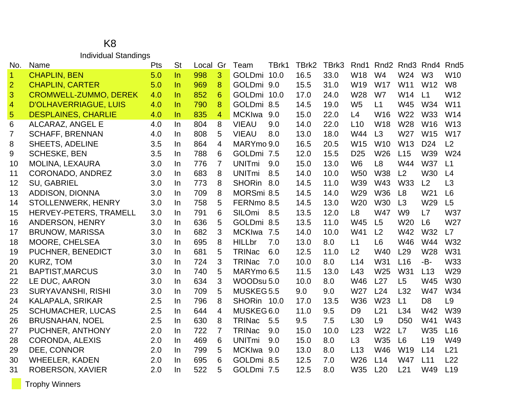#### K8 Individual Standings

| No.                  | Name                         | Pts | <b>St</b> | Local | Gr             | Team          | TBrk1 | TBrk2 | TBrk3 | Rnd1            | Rnd <sub>2</sub> |                 | Rnd <sub>3</sub> Rnd <sub>4</sub> | Rnd <sub>5</sub> |
|----------------------|------------------------------|-----|-----------|-------|----------------|---------------|-------|-------|-------|-----------------|------------------|-----------------|-----------------------------------|------------------|
| $\blacktriangleleft$ | <b>CHAPLIN, BEN</b>          | 5.0 | ln        | 998   | 3              | GOLDmi 10.0   |       | 16.5  | 33.0  | W18             | W <sub>4</sub>   | W24             | W <sub>3</sub>                    | W <sub>10</sub>  |
| $\overline{2}$       | <b>CHAPLIN, CARTER</b>       | 5.0 | $\ln$     | 969   | 8              | GOLDmi 9.0    |       | 15.5  | 31.0  | W19             | <b>W17</b>       | W11             | W <sub>12</sub>                   | W <sub>8</sub>   |
| 3                    | <b>CROMWELL-ZUMMO, DEREK</b> | 4.0 | $\ln$     | 852   | 6              | GOLDmi 10.0   |       | 17.0  | 24.0  | W28             | W7               | W14             | L1                                | W12              |
| $\overline{4}$       | <b>D'OLHAVERRIAGUE, LUIS</b> | 4.0 | $\ln$     | 790   | 8              | GOLDmi 8.5    |       | 14.5  | 19.0  | W <sub>5</sub>  | L1               | W45             | W34                               | W <sub>11</sub>  |
| $\overline{5}$       | <b>DESPLAINES, CHARLIE</b>   | 4.0 | $\ln$     | 835   | $\overline{4}$ | <b>MCKIwa</b> | 9.0   | 15.0  | 22.0  | L4              | W16              | W22             | W33                               | W14              |
| 6                    | ALCARAZ, ANGEL E             | 4.0 | In        | 804   | 8              | <b>VIEAU</b>  | 9.0   | 14.0  | 22.0  | L10             | <b>W18</b>       | W28             | W <sub>16</sub>                   | W <sub>13</sub>  |
| 7                    | <b>SCHAFF, BRENNAN</b>       | 4.0 | In        | 808   | 5              | <b>VIEAU</b>  | 8.0   | 13.0  | 18.0  | W44             | L3               | W27             | W15                               | <b>W17</b>       |
| 8                    | SHEETS, ADELINE              | 3.5 | In.       | 864   | 4              | MARYmo 9.0    |       | 16.5  | 20.5  | W15             | W <sub>10</sub>  | W <sub>13</sub> | D <sub>24</sub>                   | L2               |
| 9                    | <b>SCHESKE, BEN</b>          | 3.5 | In        | 788   | 6              | GOLDmi 7.5    |       | 12.0  | 15.5  | D <sub>25</sub> | W26              | L15             | W39                               | W24              |
| 10                   | MOLINA, LEXAURA              | 3.0 | In        | 776   | $\overline{7}$ | <b>UNITmi</b> | 9.0   | 15.0  | 13.0  | W <sub>6</sub>  | L <sub>8</sub>   | W44             | <b>W37</b>                        | L1               |
| 11                   | <b>CORONADO, ANDREZ</b>      | 3.0 | In        | 683   | 8              | <b>UNITmi</b> | 8.5   | 14.0  | 10.0  | <b>W50</b>      | <b>W38</b>       | L2              | W30                               | L4               |
| 12                   | <b>SU, GABRIEL</b>           | 3.0 | In        | 773   | 8              | <b>SHORin</b> | 8.0   | 14.5  | 11.0  | W39             | W43              | <b>W33</b>      | L2                                | L3               |
| 13                   | ADDISON, DIONNA              | 3.0 | In        | 709   | 8              | MORSmi 8.5    |       | 14.5  | 14.0  | W29             | <b>W36</b>       | L8              | W21                               | L <sub>6</sub>   |
| 14                   | STOLLENWERK, HENRY           | 3.0 | In        | 758   | 5              | FERNmo 8.5    |       | 14.5  | 13.0  | W20             | <b>W30</b>       | L3              | W29                               | L5               |
| 15                   | HERVEY-PETERS, TRAMELL       | 3.0 | In        | 791   | 6              | SILOmi        | 8.5   | 13.5  | 12.0  | L <sub>8</sub>  | <b>W47</b>       | W <sub>9</sub>  | L7                                | <b>W37</b>       |
| 16                   | <b>ANDERSON, HENRY</b>       | 3.0 | In        | 636   | 5              | GOLDmi 8.5    |       | 13.5  | 11.0  | W45             | L <sub>5</sub>   | W20             | L <sub>6</sub>                    | W27              |
| 17                   | <b>BRUNOW, MARISSA</b>       | 3.0 | In        | 682   | 3              | <b>MCKIwa</b> | 7.5   | 14.0  | 10.0  | W41             | L2               | W42             | W32                               | L7               |
| 18                   | <b>MOORE, CHELSEA</b>        | 3.0 | <u>In</u> | 695   | 8              | <b>HILLbr</b> | 7.0   | 13.0  | 8.0   | L1              | L <sub>6</sub>   | W46             | W44                               | W32              |
| 19                   | PUCHNER, BENEDICT            | 3.0 | In        | 681   | 5              | <b>TRINac</b> | 6.0   | 12.5  | 11.0  | L2              | W40              | L29             | W28                               | W31              |
| 20                   | KURZ, TOM                    | 3.0 | In.       | 724   | 3              | <b>TRINac</b> | 7.0   | 10.0  | 8.0   | L14             | W31              | L16             | -B-                               | <b>W33</b>       |
| 21                   | <b>BAPTIST, MARCUS</b>       | 3.0 | In        | 740   | 5              | MARYmo 6.5    |       | 11.5  | 13.0  | L43             | W25              | W31             | L13                               | W29              |
| 22                   | LE DUC, AARON                | 3.0 | In        | 634   | 3              | WOODsu 5.0    |       | 10.0  | 8.0   | W46             | L27              | L <sub>5</sub>  | W45                               | W30              |
| 23                   | <b>SURYAVANSHI, RISHI</b>    | 3.0 | In        | 709   | 5              | MUSKEG5.5     |       | 9.0   | 9.0   | W27             | L24              | L32             | <b>W47</b>                        | W34              |
| 24                   | KALAPALA, SRIKAR             | 2.5 | In        | 796   | 8              | SHORin 10.0   |       | 17.0  | 13.5  | <b>W36</b>      | W23              | L1              | D <sub>8</sub>                    | L <sub>9</sub>   |
| 25                   | <b>SCHUMACHER, LUCAS</b>     | 2.5 | In        | 644   | 4              | MUSKEG6.0     |       | 11.0  | 9.5   | D <sub>9</sub>  | L21              | L34             | W42                               | W39              |
| 26                   | <b>BRUSNAHAN, NOEL</b>       | 2.5 | In        | 630   | 8              | <b>TRINac</b> | 5.5   | 9.5   | 7.5   | L <sub>30</sub> | L9               | D <sub>50</sub> | W41                               | W43              |
| 27                   | PUCHNER, ANTHONY             | 2.0 | In        | 722   | $\overline{7}$ | <b>TRINac</b> | 9.0   | 15.0  | 10.0  | L23             | W22              | L7              | W35                               | L16              |
| 28                   | CORONDA, ALEXIS              | 2.0 | In        | 469   | 6              | <b>UNITmi</b> | 9.0   | 15.0  | 8.0   | L3              | W35              | L <sub>6</sub>  | L <sub>19</sub>                   | W49              |
| 29                   | DEE, CONNOR                  | 2.0 | In        | 799   | 5              | <b>MCKIwa</b> | 9.0   | 13.0  | 8.0   | L13             | W46              | W19             | L14                               | L21              |
| 30                   | <b>WHEELER, KADEN</b>        | 2.0 | In        | 695   | 6              | GOLDmi 8.5    |       | 12.5  | 7.0   | W26             | L14              | <b>W47</b>      | L11                               | L22              |
| 31                   | <b>ROBERSON, XAVIER</b>      | 2.0 | In        | 522   | 5              | GOLDmi 7.5    |       | 12.5  | 8.0   | W35             | L20              | L21             | W49                               | L19              |

Trophy Winners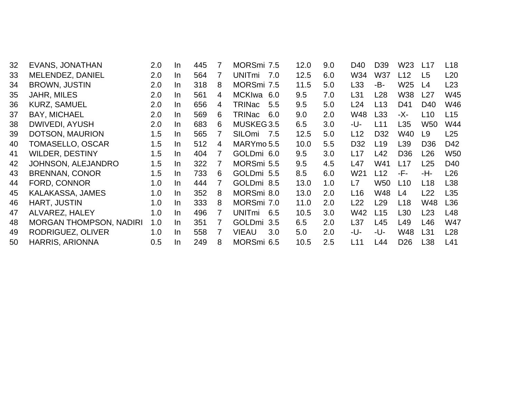| 32 | <b>EVANS, JONATHAN</b>         | 2.0 | In. | 445 | 7              | MORSmi 7.5           | 12.0 | 9.0 | D40             | D39             | W23             | L17             | L <sub>18</sub> |
|----|--------------------------------|-----|-----|-----|----------------|----------------------|------|-----|-----------------|-----------------|-----------------|-----------------|-----------------|
| 33 | MELENDEZ, DANIEL               | 2.0 | In  | 564 | $\overline{7}$ | <b>UNITmi</b><br>7.0 | 12.5 | 6.0 | W34             | <b>W37</b>      | L12             | L5              | L20             |
| 34 | <b>BROWN, JUSTIN</b>           | 2.0 | In  | 318 | 8              | MORSmi 7.5           | 11.5 | 5.0 | L33             | -B-             | W <sub>25</sub> | L4              | L <sub>23</sub> |
| 35 | JAHR, MILES                    | 2.0 | In  | 561 | 4              | <b>MCKIwa</b><br>6.0 | 9.5  | 7.0 | L31             | L <sub>28</sub> | <b>W38</b>      | L27             | W45             |
| 36 | <b>KURZ, SAMUEL</b>            | 2.0 | In. | 656 | 4              | <b>TRINac</b><br>5.5 | 9.5  | 5.0 | L24             | L <sub>13</sub> | D41             | D40             | W46             |
| 37 | <b>BAY, MICHAEL</b>            | 2.0 | In. | 569 | 6.             | TRINac<br>6.0        | 9.0  | 2.0 | W48             | L33             | -X-             | L <sub>10</sub> | L <sub>15</sub> |
| 38 | <b>DWIVEDI, AYUSH</b>          | 2.0 | In  | 683 | 6              | MUSKEG3.5            | 6.5  | 3.0 | -U-             | L11             | L35             | <b>W50</b>      | W44             |
| 39 | DOTSON, MAURION                | 1.5 | In. | 565 |                | <b>SILOmi</b><br>7.5 | 12.5 | 5.0 | L12             | D32             | W40             | L <sub>9</sub>  | L25             |
| 40 | <b>TOMASELLO, OSCAR</b>        | 1.5 | In. | 512 | 4              | MARYmo 5.5           | 10.0 | 5.5 | D <sub>32</sub> | L <sub>19</sub> | L <sub>39</sub> | D <sub>36</sub> | D42             |
| 41 | <b>WILDER, DESTINY</b>         | 1.5 | In. | 404 |                | GOLDmi 6.0           | 9.5  | 3.0 | L17             | L42             | D <sub>36</sub> | L <sub>26</sub> | <b>W50</b>      |
| 42 | <b>JOHNSON, ALEJANDRO</b>      | 1.5 | In. | 322 | 7              | MORSmi 5.5           | 9.5  | 4.5 | L47             | W41             | L17             | L25             | D40             |
| 43 | <b>BRENNAN, CONOR</b>          | 1.5 | In. | 733 | 6.             | GOLDmi 5.5           | 8.5  | 6.0 | W21             | L12             | -F-             | -H-             | L <sub>26</sub> |
| 44 | FORD, CONNOR                   | 1.0 | In. | 444 |                | GOLDmi 8.5           | 13.0 | 1.0 | L7              | W50             | L10             | L <sub>18</sub> | L38             |
| 45 | KALAKASSA, JAMES               | 1.0 | In. | 352 | 8              | MORSmi 8.0           | 13.0 | 2.0 | L <sub>16</sub> | W48             | L4              | L <sub>22</sub> | L35             |
| 46 | <b>HART, JUSTIN</b>            | 1.0 | In. | 333 | 8              | MORSmi 7.0           | 11.0 | 2.0 | L22             | L <sub>29</sub> | L <sub>18</sub> | W48             | L36             |
| 47 | ALVAREZ, HALEY                 | 1.0 | In. | 496 | 7              | <b>UNITmi</b><br>6.5 | 10.5 | 3.0 | W42             | L15             | L30             | L <sub>23</sub> | L48             |
| 48 | <b>MORGAN THOMPSON, NADIRI</b> | 1.0 | In. | 351 | 7              | GOLDmi 3.5           | 6.5  | 2.0 | L37             | L45             | L49             | L46             | <b>W47</b>      |
| 49 | RODRIGUEZ, OLIVER              | 1.0 | In. | 558 | 7              | 3.0<br><b>VIEAU</b>  | 5.0  | 2.0 | -U-             | -U-             | W48             | L31             | L <sub>28</sub> |
| 50 | <b>HARRIS, ARIONNA</b>         | 0.5 | In. | 249 | 8              | MORSmi 6.5           | 10.5 | 2.5 | L11             | L44             | D <sub>26</sub> | L38             | L41             |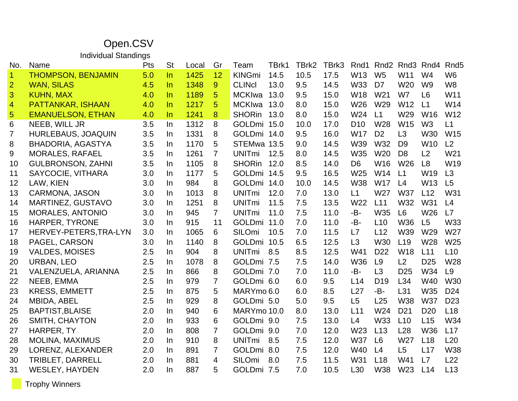## Open.CSV

Individual Standings

| No.            | Name                      | Pts | <b>St</b> | Local | Gr             | Team          | TBrk1 | TBrk2 | TBrk3 | Rnd1            | Rnd <sub>2</sub> | Rnd <sub>3</sub> | Rnd4            | Rnd <sub>5</sub> |
|----------------|---------------------------|-----|-----------|-------|----------------|---------------|-------|-------|-------|-----------------|------------------|------------------|-----------------|------------------|
| $\mathbf{1}$   | <b>THOMPSON, BENJAMIN</b> | 5.0 | $\ln$     | 1425  | 12             | <b>KINGmi</b> | 14.5  | 10.5  | 17.5  | W <sub>13</sub> | W <sub>5</sub>   | W <sub>11</sub>  | W <sub>4</sub>  | W <sub>6</sub>   |
| $\overline{2}$ | <b>WAN, SILAS</b>         | 4.5 | $\ln$     | 1348  | 9              | <b>CLINCI</b> | 13.0  | 9.5   | 14.5  | <b>W33</b>      | D <sub>7</sub>   | W <sub>20</sub>  | W <sub>9</sub>  | W <sub>8</sub>   |
| 3              | <b>KUHN, MAX</b>          | 4.0 | $\ln$     | 1189  | 5              | <b>MCKIwa</b> | 13.0  | 9.5   | 15.0  | <b>W18</b>      | W21              | W7               | L <sub>6</sub>  | W11              |
| $\overline{4}$ | PATTANKAR, ISHAAN         | 4.0 | $\ln$     | 1217  | 5              | <b>MCKIwa</b> | 13.0  | 8.0   | 15.0  | W26             | W29              | W12              | L1              | W14              |
| $\overline{5}$ | <b>EMANUELSON, ETHAN</b>  | 4.0 | In        | 1241  | 8              | <b>SHORin</b> | 13.0  | 8.0   | 15.0  | W24             | L1               | W29              | W <sub>16</sub> | W12              |
| 6              | NEEB, WILL JR             | 3.5 | In        | 1312  | 8              | GOLDmi 15.0   |       | 10.0  | 17.0  | D <sub>10</sub> | W28              | W15              | W <sub>3</sub>  | L1               |
| $\overline{7}$ | <b>HURLEBAUS, JOAQUIN</b> | 3.5 | $\ln$     | 1331  | 8              | GOLDmi 14.0   |       | 9.5   | 16.0  | <b>W17</b>      | D <sub>2</sub>   | L3               | W30             | W15              |
| 8              | <b>BHADORIA, AGASTYA</b>  | 3.5 | In        | 1170  | 5              | STEMwa 13.5   |       | 9.0   | 14.5  | W39             | W32              | D <sub>9</sub>   | W10             | L2               |
| 9              | <b>MORALES, RAFAEL</b>    | 3.5 | In        | 1261  | $\overline{7}$ | <b>UNITmi</b> | 12.5  | 8.0   | 14.5  | W35             | W20              | D <sub>8</sub>   | L2              | W21              |
| 10             | <b>GULBRONSON, ZAHNI</b>  | 3.5 | In        | 1105  | 8              | <b>SHORin</b> | 12.0  | 8.5   | 14.0  | D <sub>6</sub>  | W16              | W <sub>26</sub>  | L <sub>8</sub>  | W19              |
| 11             | SAYCOCIE, VITHARA         | 3.0 | In        | 1177  | 5              | GOLDmi 14.5   |       | 9.5   | 16.5  | W25             | W14              | L1               | W19             | L3               |
| 12             | LAW, KIEN                 | 3.0 | $\ln$     | 984   | 8              | GOLDmi 14.0   |       | 10.0  | 14.5  | <b>W38</b>      | <b>W17</b>       | L4               | W <sub>13</sub> | L5               |
| 13             | <b>CARMONA, JASON</b>     | 3.0 | $\ln$     | 1013  | 8              | <b>UNITmi</b> | 12.0  | 7.0   | 13.0  | L1              | W27              | <b>W37</b>       | L12             | W31              |
| 14             | <b>MARTINEZ, GUSTAVO</b>  | 3.0 | In        | 1251  | 8              | <b>UNITmi</b> | 11.5  | 7.5   | 13.5  | W22             | L11              | W32              | W31             | L4               |
| 15             | <b>MORALES, ANTONIO</b>   | 3.0 | In        | 945   | $\overline{7}$ | <b>UNITmi</b> | 11.0  | 7.5   | 11.0  | -B-             | W35              | L <sub>6</sub>   | W26             | L7               |
| 16             | HARPER, TYRONE            | 3.0 | In        | 915   | 11             | GOLDmi 11.0   |       | 7.0   | 11.0  | -B-             | L10              | <b>W36</b>       | L5              | W33              |
| 17             | HERVEY-PETERS, TRA-LYN    | 3.0 | In        | 1065  | 6              | SILOmi        | 10.5  | 7.0   | 11.5  | L7              | L12              | W39              | W29             | W27              |
| 18             | PAGEL, CARSON             | 3.0 | In        | 1140  | 8              | GOLDmi        | 10.5  | 6.5   | 12.5  | L3              | W30              | L <sub>19</sub>  | W28             | W25              |
| 19             | <b>VALDES, MOISES</b>     | 2.5 | $\ln$     | 904   | 8              | <b>UNITmi</b> | 8.5   | 8.5   | 12.5  | W41             | D <sub>22</sub>  | <b>W18</b>       | L11             | L10              |
| 20             | URBAN, LEO                | 2.5 | In        | 1078  | 8              | GOLDmi 7.5    |       | 7.5   | 14.0  | W36             | L <sub>9</sub>   | L2               | D <sub>25</sub> | W28              |
| 21             | VALENZUELA, ARIANNA       | 2.5 | In        | 866   | 8              | GOLDmi 7.0    |       | 7.0   | 11.0  | -B-             | L3               | D <sub>25</sub>  | W34             | L <sub>9</sub>   |
| 22             | NEEB, EMMA                | 2.5 | In        | 979   | $\overline{7}$ | GOLDmi 6.0    |       | 6.0   | 9.5   | L14             | D <sub>19</sub>  | L34              | W40             | W30              |
| 23             | <b>KRESS, EMMETT</b>      | 2.5 | In        | 875   | 5              | MARYmo 6.0    |       | 6.0   | 8.5   | L27             | -B-              | L31              | W35             | D <sub>24</sub>  |
| 24             | MBIDA, ABEL               | 2.5 | $\ln$     | 929   | 8              | GOLDmi 5.0    |       | 5.0   | 9.5   | L5              | L25              | <b>W38</b>       | <b>W37</b>      | D <sub>23</sub>  |
| 25             | <b>BAPTIST, BLAISE</b>    | 2.0 | In        | 940   | 6              | MARYmo 10.0   |       | 8.0   | 13.0  | L11             | W24              | D <sub>21</sub>  | D <sub>20</sub> | L18              |
| 26             | SMITH, CHAYTON            | 2.0 | In        | 933   | 6              | GOLDmi 9.0    |       | 7.5   | 13.0  | L4              | W33              | L10              | L15             | W34              |
| 27             | HARPER, TY                | 2.0 | In        | 808   | $\overline{7}$ | GOLDmi 9.0    |       | 7.0   | 12.0  | W <sub>23</sub> | L13              | L28              | W36             | L17              |
| 28             | <b>MOLINA, MAXIMUS</b>    | 2.0 | In        | 910   | 8              | <b>UNITmi</b> | 8.5   | 7.5   | 12.0  | <b>W37</b>      | L <sub>6</sub>   | W27              | L18             | L20              |
| 29             | LORENZ, ALEXANDER         | 2.0 | In.       | 891   | $\overline{7}$ | GOLDmi 8.0    |       | 7.5   | 12.0  | <b>W40</b>      | L4               | L <sub>5</sub>   | L17             | W38              |
| 30             | <b>TRIBLET, DARRELL</b>   | 2.0 | $\ln$     | 881   | 4              | SILOmi        | 8.0   | 7.5   | 11.5  | W31             | L18              | W41              | L7              | L22              |
| 31             | <b>WESLEY, HAYDEN</b>     | 2.0 | In        | 887   | 5              | GOLDmi 7.5    |       | 7.0   | 10.5  | L30             | <b>W38</b>       | W23              | L14             | L13              |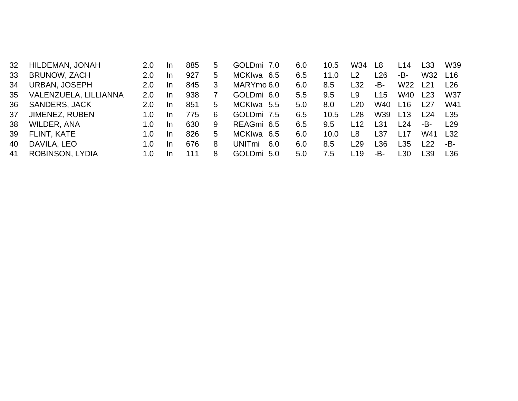| 32 | HILDEMAN, JONAH        | 2.0         | -In       | 885 | 5 | GOLDmi 7.0    | 6.0 | 10.5 | W34 | L8              | L14             | L33   | W39             |
|----|------------------------|-------------|-----------|-----|---|---------------|-----|------|-----|-----------------|-----------------|-------|-----------------|
| 33 | BRUNOW, ZACH           | 2.0         | -In       | 927 | 5 | MCKIwa 6.5    | 6.5 | 11.0 | L2  | $\overline{26}$ | -B-             | W32   | L <sub>16</sub> |
| 34 | <b>URBAN, JOSEPH</b>   | 2.0         | <b>In</b> | 845 | 3 | MARYmo 6.0    | 6.0 | 8.5  | L32 | -В-             | W <sub>22</sub> | l 21  | l 26.           |
| 35 | VALENZUELA, LILLIANNA  | 2.0         | -In       | 938 |   | GOLDmi 6.0    | 5.5 | 9.5  | L9  | L15             | W40             | L23   | W37             |
| 36 | <b>SANDERS, JACK</b>   | 2.0         | -In       | 851 | 5 | MCKIwa 5.5    | 5.0 | 8.0  | L20 | W40             | L16             | L27   | W41             |
| 37 | JIMENEZ, RUBEN         | 1.0         | -In       | 775 | 6 | GOLDmi 7.5    | 6.5 | 10.5 | L28 | W39             | L13             | l 24  | L35             |
| 38 | <b>WILDER, ANA</b>     | 1. $\Omega$ | -In       | 630 | 9 | REAGmi 6.5    | 6.5 | 9.5  | 12  | L31             | L24             | -B-   | <u>129</u>      |
| 39 | FLINT, KATE            | 1. $\Omega$ | -In       | 826 | 5 | MCKIwa 6.5    | 6.0 | 10.0 | L8  | L37             | L17             | W41   | L32             |
| 40 | DAVILA, LEO            | 1. $\Omega$ | -In       | 676 | 8 | UNITmi<br>6.0 | 6.0 | 8.5  | L29 | L36             | L35             | 22.   | -B-             |
| 41 | <b>ROBINSON, LYDIA</b> | 1. $\Omega$ | -In       | 111 | 8 | GOLDmi 5.0    | 5.0 | 7.5  | L19 | -В-             | L30             | l 39. | L36             |
|    |                        |             |           |     |   |               |     |      |     |                 |                 |       |                 |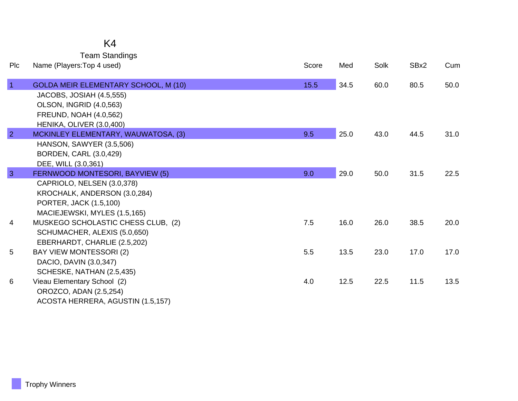### K4

Team Standings

| Plc            | Name (Players: Top 4 used)                                 | Score | Med  | Solk | SBx2 | Cum  |
|----------------|------------------------------------------------------------|-------|------|------|------|------|
| $\overline{1}$ | GOLDA MEIR ELEMENTARY SCHOOL, M (10)                       | 15.5  | 34.5 | 60.0 | 80.5 | 50.0 |
|                | JACOBS, JOSIAH (4.5,555)                                   |       |      |      |      |      |
|                | <b>OLSON, INGRID (4.0,563)</b>                             |       |      |      |      |      |
|                | <b>FREUND, NOAH (4.0,562)</b>                              |       |      |      |      |      |
|                | HENIKA, OLIVER (3.0,400)                                   |       |      |      |      |      |
| $\overline{2}$ | MCKINLEY ELEMENTARY, WAUWATOSA, (3)                        | 9.5   | 25.0 | 43.0 | 44.5 | 31.0 |
|                | HANSON, SAWYER (3.5,506)                                   |       |      |      |      |      |
|                | BORDEN, CARL (3.0,429)                                     |       |      |      |      |      |
| $\overline{3}$ | DEE, WILL (3.0,361)                                        |       |      |      |      | 22.5 |
|                | FERNWOOD MONTESORI, BAYVIEW (5)                            | 9.0   | 29.0 | 50.0 | 31.5 |      |
|                | CAPRIOLO, NELSEN (3.0,378)<br>KROCHALK, ANDERSON (3.0,284) |       |      |      |      |      |
|                | PORTER, JACK (1.5,100)                                     |       |      |      |      |      |
|                | MACIEJEWSKI, MYLES (1.5,165)                               |       |      |      |      |      |
| 4              | MUSKEGO SCHOLASTIC CHESS CLUB, (2)                         | 7.5   | 16.0 | 26.0 | 38.5 | 20.0 |
|                | SCHUMACHER, ALEXIS (5.0,650)                               |       |      |      |      |      |
|                | EBERHARDT, CHARLIE (2.5,202)                               |       |      |      |      |      |
| 5              | BAY VIEW MONTESSORI (2)                                    | 5.5   | 13.5 | 23.0 | 17.0 | 17.0 |
|                | DACIO, DAVIN (3.0,347)                                     |       |      |      |      |      |
|                | SCHESKE, NATHAN (2.5,435)                                  |       |      |      |      |      |
| 6              | Vieau Elementary School (2)                                | 4.0   | 12.5 | 22.5 | 11.5 | 13.5 |
|                | OROZCO, ADAN (2.5,254)                                     |       |      |      |      |      |
|                | ACOSTA HERRERA, AGUSTIN (1.5,157)                          |       |      |      |      |      |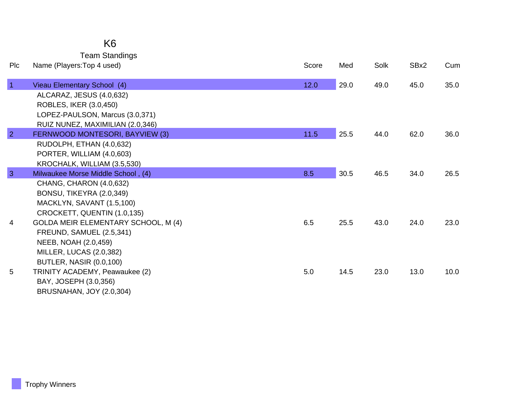| <b>PIc</b>     | <b>Team Standings</b><br>Name (Players: Top 4 used)      | Score | Med  | Solk | SBx2 | Cum  |
|----------------|----------------------------------------------------------|-------|------|------|------|------|
| $\blacksquare$ | Vieau Elementary School (4)                              | 12.0  | 29.0 | 49.0 | 45.0 | 35.0 |
|                | ALCARAZ, JESUS (4.0,632)                                 |       |      |      |      |      |
|                | ROBLES, IKER (3.0,450)                                   |       |      |      |      |      |
|                | LOPEZ-PAULSON, Marcus (3.0,371)                          |       |      |      |      |      |
|                | RUIZ NUNEZ, MAXIMILIAN (2.0,346)                         |       |      |      |      |      |
| $\overline{2}$ | FERNWOOD MONTESORI, BAYVIEW (3)                          | 11.5  | 25.5 | 44.0 | 62.0 | 36.0 |
|                | RUDOLPH, ETHAN (4.0,632)                                 |       |      |      |      |      |
|                | PORTER, WILLIAM (4.0,603)                                |       |      |      |      |      |
|                | KROCHALK, WILLIAM (3.5,530)                              |       |      |      |      |      |
| 3              | Milwaukee Morse Middle School, (4)                       | 8.5   | 30.5 | 46.5 | 34.0 | 26.5 |
|                | CHANG, CHARON (4.0,632)                                  |       |      |      |      |      |
|                | BONSU, TIKEYRA (2.0,349)                                 |       |      |      |      |      |
|                | MACKLYN, SAVANT (1.5,100)<br>CROCKETT, QUENTIN (1.0,135) |       |      |      |      |      |
| 4              | <b>GOLDA MEIR ELEMENTARY SCHOOL, M (4)</b>               | 6.5   | 25.5 | 43.0 | 24.0 | 23.0 |
|                | <b>FREUND, SAMUEL (2.5,341)</b>                          |       |      |      |      |      |
|                | NEEB, NOAH (2.0,459)                                     |       |      |      |      |      |
|                | MILLER, LUCAS (2.0,382)                                  |       |      |      |      |      |
|                | <b>BUTLER, NASIR (0.0,100)</b>                           |       |      |      |      |      |
| 5              | TRINITY ACADEMY, Peawaukee (2)                           | 5.0   | 14.5 | 23.0 | 13.0 | 10.0 |
|                | BAY, JOSEPH (3.0,356)                                    |       |      |      |      |      |
|                | <b>BRUSNAHAN, JOY (2.0,304)</b>                          |       |      |      |      |      |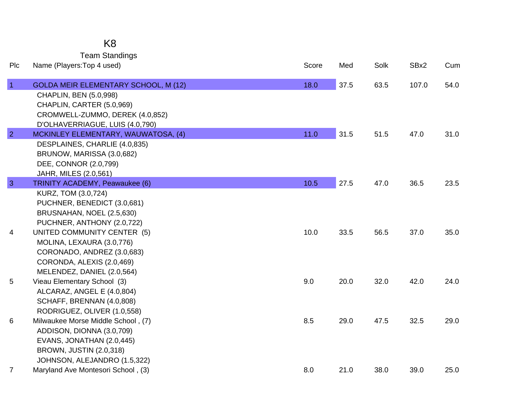Team Standings

| Plc            | Name (Players: Top 4 used)                              | Score | Med  | Solk | SBx2  | Cum  |
|----------------|---------------------------------------------------------|-------|------|------|-------|------|
| $\overline{1}$ | <b>GOLDA MEIR ELEMENTARY SCHOOL, M (12)</b>             | 18.0  | 37.5 | 63.5 | 107.0 | 54.0 |
|                | CHAPLIN, BEN (5.0,998)                                  |       |      |      |       |      |
|                | CHAPLIN, CARTER (5.0,969)                               |       |      |      |       |      |
|                | CROMWELL-ZUMMO, DEREK (4.0,852)                         |       |      |      |       |      |
|                | D'OLHAVERRIAGUE, LUIS (4.0,790)                         |       |      |      |       |      |
| $\overline{2}$ | MCKINLEY ELEMENTARY, WAUWATOSA, (4)                     | 11.0  | 31.5 | 51.5 | 47.0  | 31.0 |
|                | DESPLAINES, CHARLIE (4.0,835)                           |       |      |      |       |      |
|                | BRUNOW, MARISSA (3.0,682)                               |       |      |      |       |      |
|                | DEE, CONNOR (2.0,799)                                   |       |      |      |       |      |
| $\overline{3}$ | JAHR, MILES (2.0,561)<br>TRINITY ACADEMY, Peawaukee (6) | 10.5  | 27.5 | 47.0 | 36.5  | 23.5 |
|                | KURZ, TOM (3.0,724)                                     |       |      |      |       |      |
|                | PUCHNER, BENEDICT (3.0,681)                             |       |      |      |       |      |
|                | BRUSNAHAN, NOEL (2.5,630)                               |       |      |      |       |      |
|                | PUCHNER, ANTHONY (2.0,722)                              |       |      |      |       |      |
| 4              | UNITED COMMUNITY CENTER (5)                             | 10.0  | 33.5 | 56.5 | 37.0  | 35.0 |
|                | MOLINA, LEXAURA (3.0,776)                               |       |      |      |       |      |
|                | CORONADO, ANDREZ (3.0,683)                              |       |      |      |       |      |
|                | CORONDA, ALEXIS (2.0,469)                               |       |      |      |       |      |
|                | MELENDEZ, DANIEL (2.0,564)                              |       |      |      |       |      |
| 5              | Vieau Elementary School (3)                             | 9.0   | 20.0 | 32.0 | 42.0  | 24.0 |
|                | ALCARAZ, ANGEL E (4.0,804)                              |       |      |      |       |      |
|                | SCHAFF, BRENNAN (4.0,808)                               |       |      |      |       |      |
|                | RODRIGUEZ, OLIVER (1.0,558)                             |       |      |      |       |      |
| 6              | Milwaukee Morse Middle School, (7)                      | 8.5   | 29.0 | 47.5 | 32.5  | 29.0 |
|                | ADDISON, DIONNA (3.0,709)                               |       |      |      |       |      |
|                | EVANS, JONATHAN (2.0,445)                               |       |      |      |       |      |
|                | <b>BROWN, JUSTIN (2.0,318)</b>                          |       |      |      |       |      |
|                | JOHNSON, ALEJANDRO (1.5,322)                            |       |      |      |       |      |
| $\overline{7}$ | Maryland Ave Montesori School, (3)                      | 8.0   | 21.0 | 38.0 | 39.0  | 25.0 |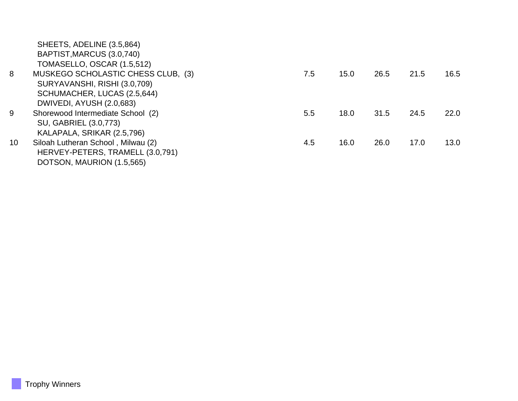|                 | SHEETS, ADELINE (3.5,864)          |     |      |      |      |      |
|-----------------|------------------------------------|-----|------|------|------|------|
|                 | BAPTIST, MARCUS (3.0, 740)         |     |      |      |      |      |
|                 | TOMASELLO, OSCAR (1.5,512)         |     |      |      |      |      |
| 8               | MUSKEGO SCHOLASTIC CHESS CLUB, (3) | 7.5 | 15.0 | 26.5 | 21.5 | 16.5 |
|                 | SURYAVANSHI, RISHI (3.0,709)       |     |      |      |      |      |
|                 | SCHUMACHER, LUCAS (2.5,644)        |     |      |      |      |      |
|                 | DWIVEDI, AYUSH (2.0,683)           |     |      |      |      |      |
| 9               | Shorewood Intermediate School (2)  | 5.5 | 18.0 | 31.5 | 24.5 | 22.0 |
|                 | SU, GABRIEL (3.0,773)              |     |      |      |      |      |
|                 | KALAPALA, SRIKAR (2.5,796)         |     |      |      |      |      |
| 10 <sup>°</sup> | Siloah Lutheran School, Milwau (2) | 4.5 | 16.0 | 26.0 | 17.0 | 13.0 |
|                 | HERVEY-PETERS, TRAMELL (3.0,791)   |     |      |      |      |      |
|                 | DOTSON, MAURION (1.5,565)          |     |      |      |      |      |
|                 |                                    |     |      |      |      |      |